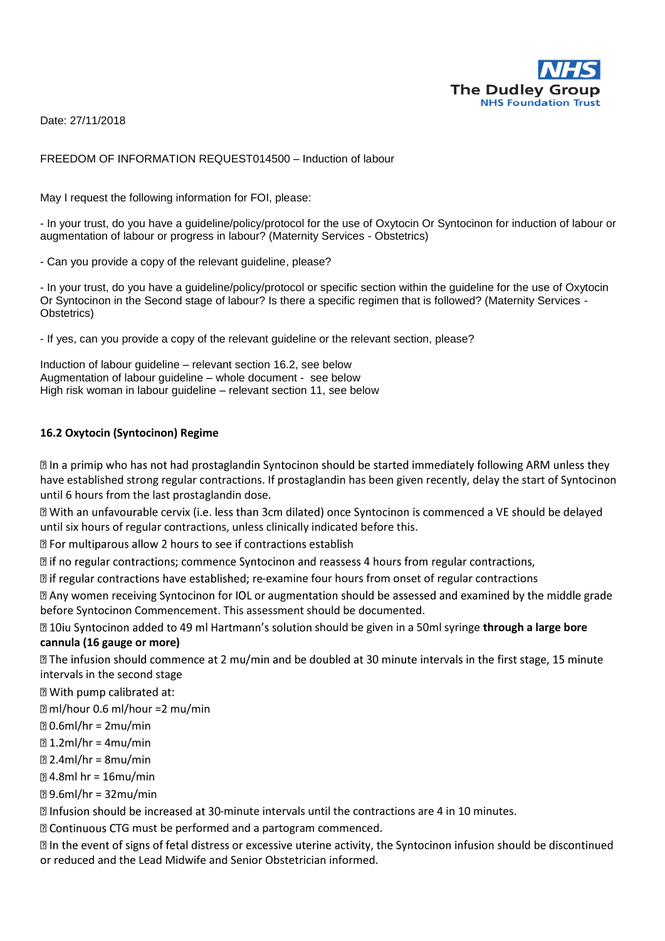

Date: 27/11/2018

#### FREEDOM OF INFORMATION REQUEST014500 – Induction of labour

May I request the following information for FOI, please:

- In your trust, do you have a guideline/policy/protocol for the use of Oxytocin Or Syntocinon for induction of labour or augmentation of labour or progress in labour? (Maternity Services - Obstetrics)

- Can you provide a copy of the relevant guideline, please?

- In your trust, do you have a guideline/policy/protocol or specific section within the guideline for the use of Oxytocin Or Syntocinon in the Second stage of labour? Is there a specific regimen that is followed? (Maternity Services - Obstetrics)

- If yes, can you provide a copy of the relevant guideline or the relevant section, please?

Induction of labour guideline – relevant section 16.2, see below Augmentation of labour guideline – whole document - see below High risk woman in labour guideline – relevant section 11, see below

#### **16.2 Oxytocin (Syntocinon) Regime**

**Ⅱ** In a primip who has not had prostaglandin Syntocinon should be started immediately following ARM unless they have established strong regular contractions. If prostaglandin has been given recently, delay the start of Syntocinon until 6 hours from the last prostaglandin dose.

I With an unfavourable cervix (i.e. less than 3cm dilated) once Syntocinon is commenced a VE should be delayed until six hours of regular contractions, unless clinically indicated before this.

Z For multiparous allow 2 hours to see if contractions establish

 $\mathbb{Z}$  if no regular contractions; commence Syntocinon and reassess 4 hours from regular contractions,

I if regular contractions have established; re-examine four hours from onset of regular contractions

a Any women receiving Syntocinon for IOL or augmentation should be assessed and examined by the middle grade before Syntocinon Commencement. This assessment should be documented.

**210** 2001 a 50ml syntocinon added to 49 ml Hartmann's solution should be given in a 50ml syringe **through a large bore cannula (16 gauge or more)** 

**Ⅱ** The infusion should commence at 2 mu/min and be doubled at 30 minute intervals in the first stage, 15 minute intervals in the second stage

**Z** With pump calibrated at:

ml/hour 0.6 ml/hour =2 mu/min

 $0.6$ ml/hr = 2mu/min

 $21.2$ ml/hr = 4mu/min

 $2.4$ ml/hr = 8mu/min

4.8ml hr = 16mu/min

9.6ml/hr = 32mu/min

 $\mathbb B$  Infusion should be increased at 30-minute intervals until the contractions are 4 in 10 minutes.

**D** Continuous CTG must be performed and a partogram commenced.

In the event of signs of fetal distress or excessive uterine activity, the Syntocinon infusion should be discontinued or reduced and the Lead Midwife and Senior Obstetrician informed.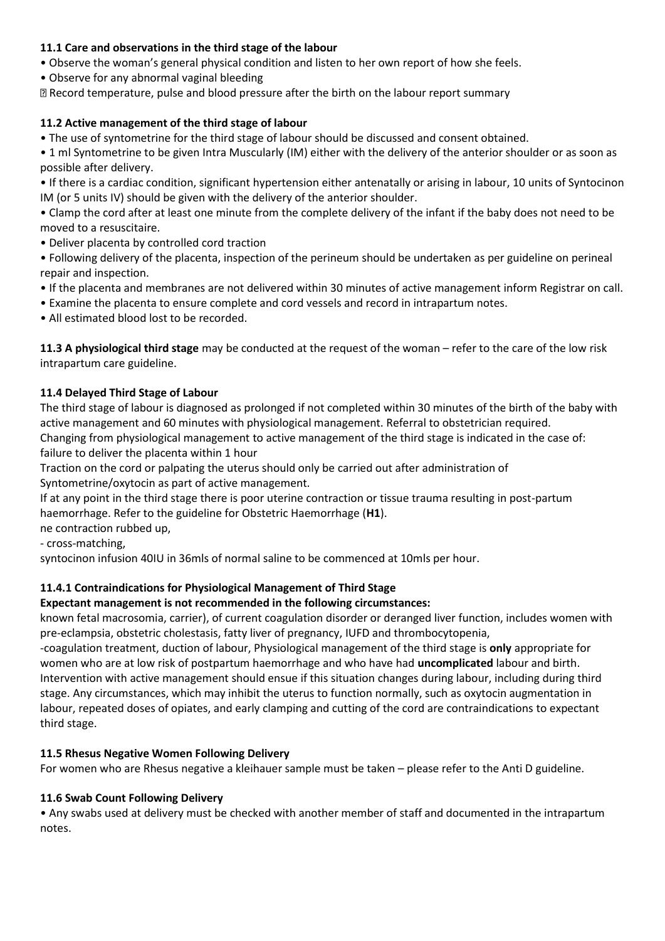## **11.1 Care and observations in the third stage of the labour**

• Observe the woman's general physical condition and listen to her own report of how she feels.

• Observe for any abnormal vaginal bleeding

Record temperature, pulse and blood pressure after the birth on the labour report summary

## **11.2 Active management of the third stage of labour**

• The use of syntometrine for the third stage of labour should be discussed and consent obtained.

• 1 ml Syntometrine to be given Intra Muscularly (IM) either with the delivery of the anterior shoulder or as soon as possible after delivery.

• If there is a cardiac condition, significant hypertension either antenatally or arising in labour, 10 units of Syntocinon IM (or 5 units IV) should be given with the delivery of the anterior shoulder.

• Clamp the cord after at least one minute from the complete delivery of the infant if the baby does not need to be moved to a resuscitaire.

- Deliver placenta by controlled cord traction
- Following delivery of the placenta, inspection of the perineum should be undertaken as per guideline on perineal repair and inspection.
- If the placenta and membranes are not delivered within 30 minutes of active management inform Registrar on call.
- Examine the placenta to ensure complete and cord vessels and record in intrapartum notes.
- All estimated blood lost to be recorded.

**11.3 A physiological third stage** may be conducted at the request of the woman – refer to the care of the low risk intrapartum care guideline.

## **11.4 Delayed Third Stage of Labour**

The third stage of labour is diagnosed as prolonged if not completed within 30 minutes of the birth of the baby with active management and 60 minutes with physiological management. Referral to obstetrician required. Changing from physiological management to active management of the third stage is indicated in the case of:

failure to deliver the placenta within 1 hour

Traction on the cord or palpating the uterus should only be carried out after administration of Syntometrine/oxytocin as part of active management.

If at any point in the third stage there is poor uterine contraction or tissue trauma resulting in post-partum haemorrhage. Refer to the guideline for Obstetric Haemorrhage (**H1**).

ne contraction rubbed up,

- cross-matching,

syntocinon infusion 40IU in 36mls of normal saline to be commenced at 10mls per hour.

## **11.4.1 Contraindications for Physiological Management of Third Stage**

**Expectant management is not recommended in the following circumstances:** 

known fetal macrosomia, carrier), of current coagulation disorder or deranged liver function, includes women with pre-eclampsia, obstetric cholestasis, fatty liver of pregnancy, IUFD and thrombocytopenia,

-coagulation treatment, duction of labour, Physiological management of the third stage is **only** appropriate for women who are at low risk of postpartum haemorrhage and who have had **uncomplicated** labour and birth. Intervention with active management should ensue if this situation changes during labour, including during third stage. Any circumstances, which may inhibit the uterus to function normally, such as oxytocin augmentation in labour, repeated doses of opiates, and early clamping and cutting of the cord are contraindications to expectant third stage.

## **11.5 Rhesus Negative Women Following Delivery**

For women who are Rhesus negative a kleihauer sample must be taken – please refer to the Anti D guideline.

## **11.6 Swab Count Following Delivery**

• Any swabs used at delivery must be checked with another member of staff and documented in the intrapartum notes.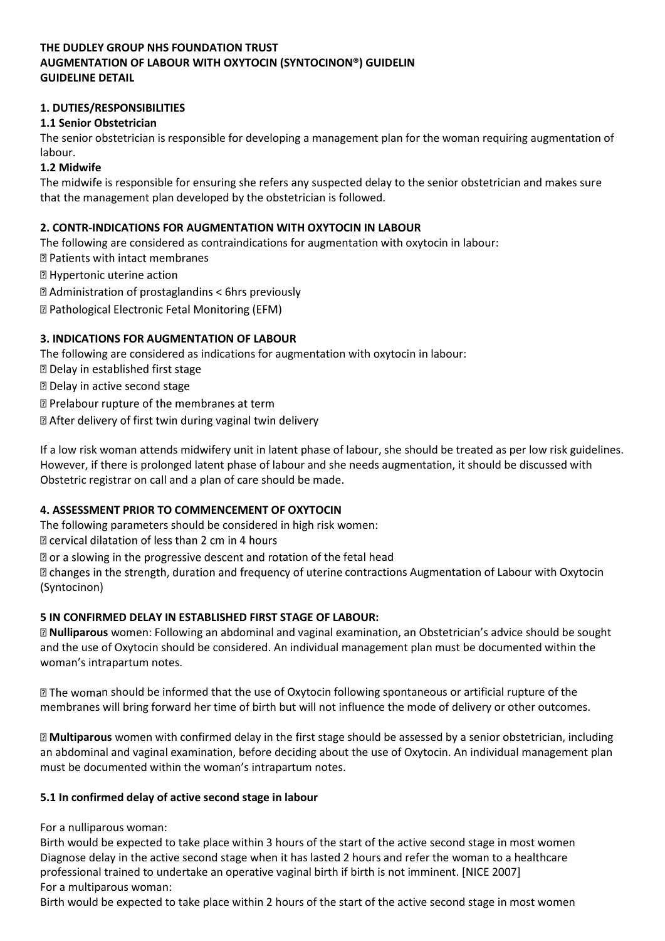## **THE DUDLEY GROUP NHS FOUNDATION TRUST AUGMENTATION OF LABOUR WITH OXYTOCIN (SYNTOCINON®) GUIDELIN GUIDELINE DETAIL**

## **1. DUTIES/RESPONSIBILITIES**

## **1.1 Senior Obstetrician**

The senior obstetrician is responsible for developing a management plan for the woman requiring augmentation of labour.

#### **1.2 Midwife**

The midwife is responsible for ensuring she refers any suspected delay to the senior obstetrician and makes sure that the management plan developed by the obstetrician is followed.

#### **2. CONTR-INDICATIONS FOR AUGMENTATION WITH OXYTOCIN IN LABOUR**

The following are considered as contraindications for augmentation with oxytocin in labour: **D** Patients with intact membranes

**2 Hypertonic uterine action** 

**sqrt2** Administration of prostaglandins < 6hrs previously

**D** Pathological Electronic Fetal Monitoring (EFM)

## **3. INDICATIONS FOR AUGMENTATION OF LABOUR**

The following are considered as indications for augmentation with oxytocin in labour:

**<b>D** Delay in established first stage

**D** Delay in active second stage

**2 Prelabour rupture of the membranes at term** 

Z After delivery of first twin during vaginal twin delivery

If a low risk woman attends midwifery unit in latent phase of labour, she should be treated as per low risk guidelines. However, if there is prolonged latent phase of labour and she needs augmentation, it should be discussed with Obstetric registrar on call and a plan of care should be made.

## **4. ASSESSMENT PRIOR TO COMMENCEMENT OF OXYTOCIN**

The following parameters should be considered in high risk women:

**sqrt22** cervical dilatation of less than 2 cm in 4 hours

 $\Omega$  or a slowing in the progressive descent and rotation of the fetal head

 $\Box$  changes in the strength, duration and frequency of uterine contractions Augmentation of Labour with Oxytocin (Syntocinon)

## **5 IN CONFIRMED DELAY IN ESTABLISHED FIRST STAGE OF LABOUR:**

**Nulliparous** women: Following an abdominal and vaginal examination, an Obstetrician's advice should be sought and the use of Oxytocin should be considered. An individual management plan must be documented within the woman's intrapartum notes.

 $\mathbb D$  The woman should be informed that the use of Oxytocin following spontaneous or artificial rupture of the membranes will bring forward her time of birth but will not influence the mode of delivery or other outcomes.

**Multiparous** women with confirmed delay in the first stage should be assessed by a senior obstetrician, including an abdominal and vaginal examination, before deciding about the use of Oxytocin. An individual management plan must be documented within the woman's intrapartum notes.

#### **5.1 In confirmed delay of active second stage in labour**

For a nulliparous woman:

Birth would be expected to take place within 3 hours of the start of the active second stage in most women Diagnose delay in the active second stage when it has lasted 2 hours and refer the woman to a healthcare professional trained to undertake an operative vaginal birth if birth is not imminent. [NICE 2007] For a multiparous woman:

Birth would be expected to take place within 2 hours of the start of the active second stage in most women